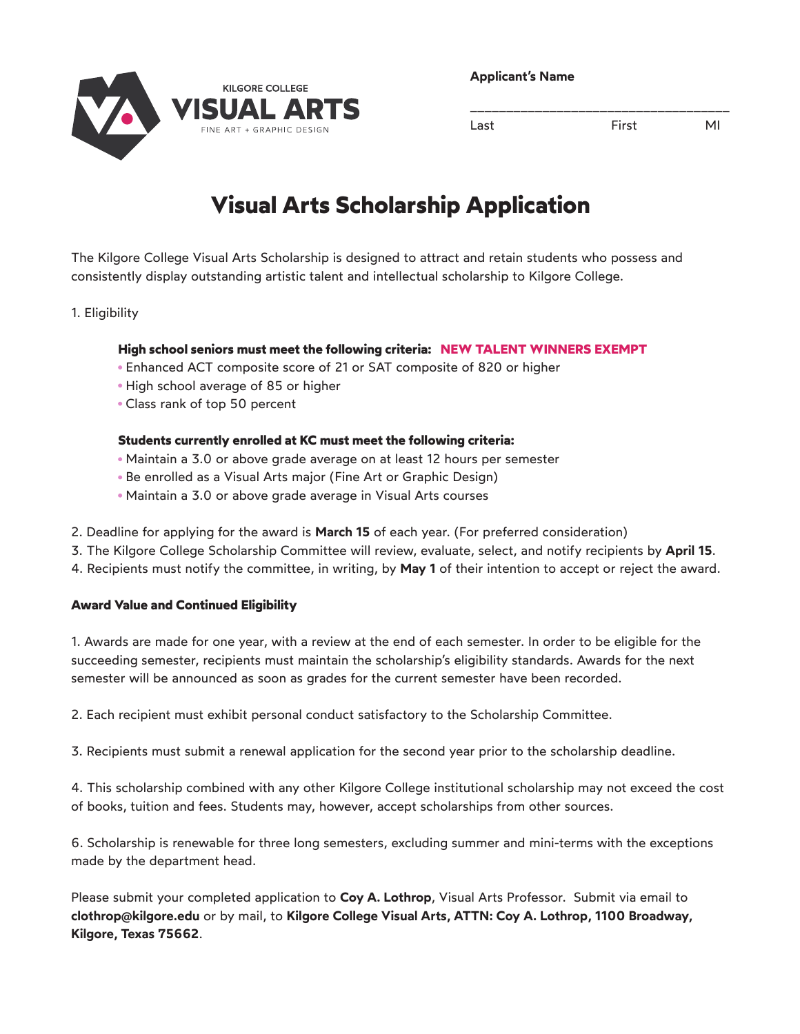

**Applicant's Name**

Last **First** MI

\_\_\_\_\_\_\_\_\_\_\_\_\_\_\_\_\_\_\_\_\_\_\_\_\_\_\_\_\_\_\_\_\_\_\_\_

# **Visual Arts Scholarship Application**

The Kilgore College Visual Arts Scholarship is designed to attract and retain students who possess and consistently display outstanding artistic talent and intellectual scholarship to Kilgore College.

### 1. Eligibility

### **High school seniors must meet the following criteria: NEW TALENT WINNERS EXEMPT**

- Enhanced ACT composite score of 21 or SAT composite of 820 or higher
- High school average of 85 or higher
- Class rank of top 50 percent

#### **Students currently enrolled at KC must meet the following criteria:**

- Maintain a 3.0 or above grade average on at least 12 hours per semester
- Be enrolled as a Visual Arts major (Fine Art or Graphic Design)
- Maintain a 3.0 or above grade average in Visual Arts courses
- 2. Deadline for applying for the award is **March 15** of each year. (For preferred consideration)
- 3. The Kilgore College Scholarship Committee will review, evaluate, select, and notify recipients by **April 15**.
- 4. Recipients must notify the committee, in writing, by **May 1** of their intention to accept or reject the award.

#### **Award Value and Continued Eligibility**

1. Awards are made for one year, with a review at the end of each semester. In order to be eligible for the succeeding semester, recipients must maintain the scholarship's eligibility standards. Awards for the next semester will be announced as soon as grades for the current semester have been recorded.

2. Each recipient must exhibit personal conduct satisfactory to the Scholarship Committee.

3. Recipients must submit a renewal application for the second year prior to the scholarship deadline.

4. This scholarship combined with any other Kilgore College institutional scholarship may not exceed the cost of books, tuition and fees. Students may, however, accept scholarships from other sources.

6. Scholarship is renewable for three long semesters, excluding summer and mini-terms with the exceptions made by the department head.

Please submit your completed application to **Coy A. Lothrop**, Visual Arts Professor. Submit via email to **clothrop@kilgore.edu** or by mail, to **Kilgore College Visual Arts, ATTN: Coy A. Lothrop, 1100 Broadway, Kilgore, Texas 75662**.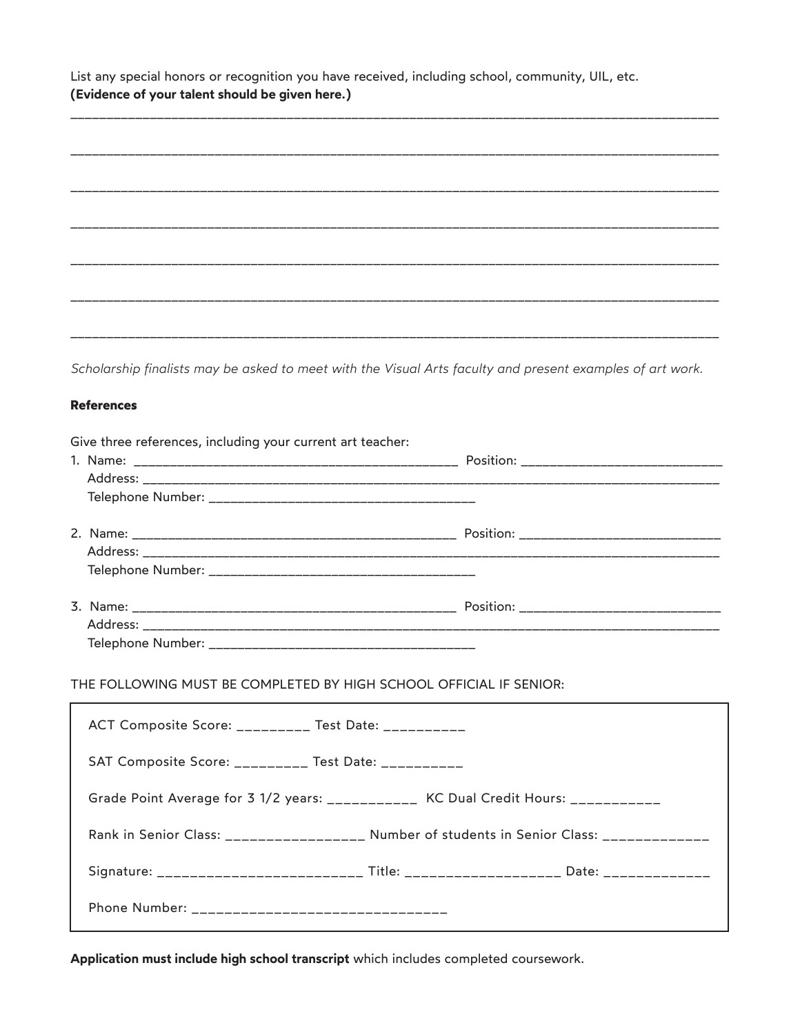List any special honors or recognition you have received, including school, community, UIL, etc. **(Evidence of your talent should be given here.)**

| ______ |  |             |
|--------|--|-------------|
|        |  |             |
|        |  |             |
|        |  |             |
|        |  | ___________ |
|        |  |             |
|        |  |             |

\_\_\_\_\_\_\_\_\_\_\_\_\_\_\_\_\_\_\_\_\_\_\_\_\_\_\_\_\_\_\_\_\_\_\_\_\_\_\_\_\_\_\_\_\_\_\_\_\_\_\_\_\_\_\_\_\_\_\_\_\_\_\_\_\_\_\_\_\_\_\_\_\_\_\_\_\_\_\_\_\_\_\_\_\_\_\_\_\_\_

*Scholarship finalists may be asked to meet with the Visual Arts faculty and present examples of art work.*

#### **References**

| Give three references, including your current art teacher:         |  |  |  |
|--------------------------------------------------------------------|--|--|--|
|                                                                    |  |  |  |
|                                                                    |  |  |  |
|                                                                    |  |  |  |
|                                                                    |  |  |  |
|                                                                    |  |  |  |
|                                                                    |  |  |  |
|                                                                    |  |  |  |
|                                                                    |  |  |  |
|                                                                    |  |  |  |
|                                                                    |  |  |  |
| THE FOLLOWING MUST BE COMPLETED BY HIGH SCHOOL OFFICIAL IF SENIOR: |  |  |  |
| ACT Composite Score: _________ Test Date: _________                |  |  |  |
| SAT Composite Score: _________ Test Date: __________               |  |  |  |

Grade Point Average for 3 1/2 years: \_\_\_\_\_\_\_\_\_\_\_ KC Dual Credit Hours: \_\_\_\_\_\_\_\_\_\_

Rank in Senior Class: \_\_\_\_\_\_\_\_\_\_\_\_\_\_\_\_\_\_ Number of students in Senior Class: \_\_\_\_\_\_\_\_\_\_\_\_\_

Signature: \_\_\_\_\_\_\_\_\_\_\_\_\_\_\_\_\_\_\_\_\_\_\_\_\_ Title: \_\_\_\_\_\_\_\_\_\_\_\_\_\_\_\_\_\_\_ Date: \_\_\_\_\_\_\_\_\_\_\_\_\_

**Application must include high school transcript** which includes completed coursework.

Phone Number: \_\_\_\_\_\_\_\_\_\_\_\_\_\_\_\_\_\_\_\_\_\_\_\_\_\_\_\_\_\_\_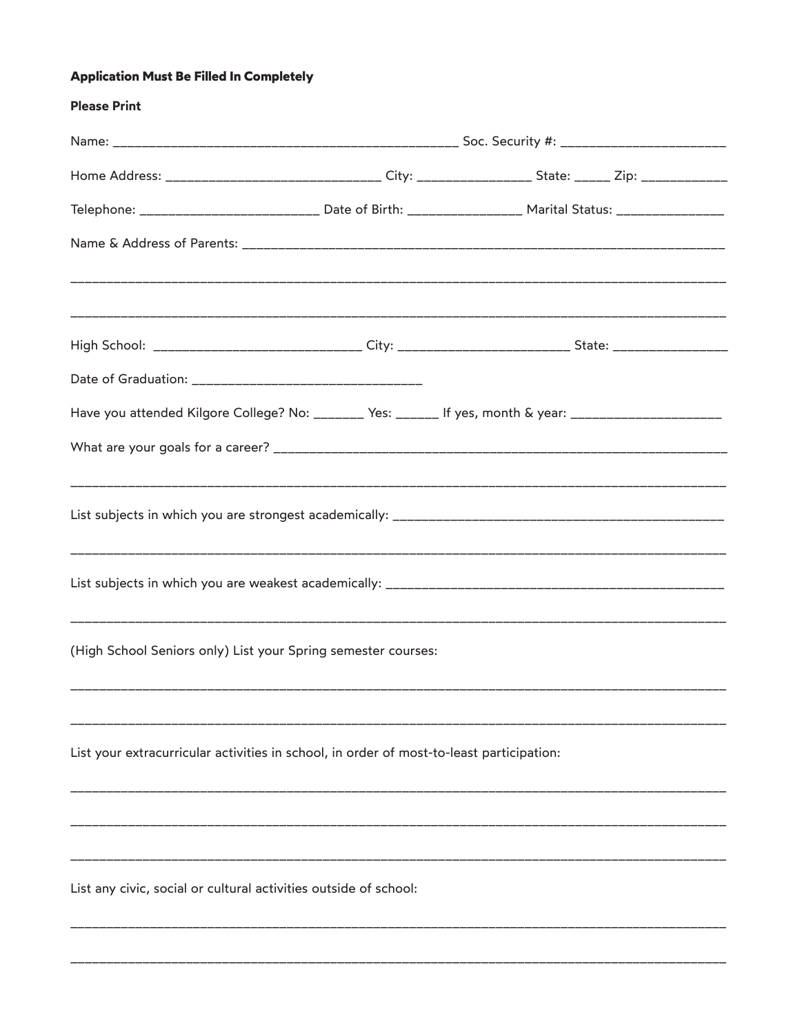## **Application Must Be Filled In Completely**

| <b>Please Print</b>                                                                                                  |  |  |  |  |
|----------------------------------------------------------------------------------------------------------------------|--|--|--|--|
|                                                                                                                      |  |  |  |  |
| Home Address: __________________________________ City: _________________________ State: ________ Zip: ______________ |  |  |  |  |
| Telephone: __________________________ Date of Birth: _________________ Marital Status: _________________             |  |  |  |  |
|                                                                                                                      |  |  |  |  |
|                                                                                                                      |  |  |  |  |
| High School: _____________________________City: __________________________State: __________________                  |  |  |  |  |
|                                                                                                                      |  |  |  |  |
| Have you attended Kilgore College? No: _______ Yes: ______ If yes, month & year: ______________________              |  |  |  |  |
|                                                                                                                      |  |  |  |  |
|                                                                                                                      |  |  |  |  |
|                                                                                                                      |  |  |  |  |
| (High School Seniors only) List your Spring semester courses:                                                        |  |  |  |  |
|                                                                                                                      |  |  |  |  |
| List your extracurricular activities in school, in order of most-to-least participation:                             |  |  |  |  |
|                                                                                                                      |  |  |  |  |
|                                                                                                                      |  |  |  |  |
| List any civic, social or cultural activities outside of school:                                                     |  |  |  |  |